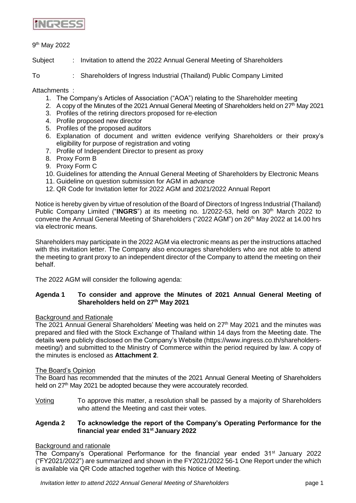

# 9<sup>th</sup> May 2022

Subject : Invitation to attend the 2022 Annual General Meeting of Shareholders

To : Shareholders of Ingress Industrial (Thailand) Public Company Limited

Attachments :

- 1. The Company's Articles of Association ("AOA") relating to the Shareholder meeting
- 2. A copy of the Minutes of the 2021 Annual General Meeting of Shareholders held on  $27<sup>th</sup>$  May 2021
- 3. Profiles of the retiring directors proposed for re-election
- 4. Profile proposed new director
- 5. Profiles of the proposed auditors
- 6. Explanation of document and written evidence verifying Shareholders or their proxy's eligibility for purpose of registration and voting
- 7. Profile of Independent Director to present as proxy
- 8. Proxy Form B
- 9. Proxy Form C
- 10. Guidelines for attending the Annual General Meeting of Shareholders by Electronic Means
- 11. Guideline on question submission for AGM in advance
- 12. QR Code for Invitation letter for 2022 AGM and 2021/2022 Annual Report

Notice is hereby given by virtue of resolution of the Board of Directors of Ingress Industrial (Thailand) Public Company Limited ("INGRS") at its meeting no. 1/2022-53, held on 30<sup>th</sup> March 2022 to convene the Annual General Meeting of Shareholders ("2022 AGM") on 26<sup>th</sup> May 2022 at 14.00 hrs via electronic means.

Shareholders may participate in the 2022 AGM via electronic means as per the instructions attached with this invitation letter. The Company also encourages shareholders who are not able to attend the meeting to grant proxy to an independent director of the Company to attend the meeting on their behalf.

The 2022 AGM will consider the following agenda:

## **Agenda 1 To consider and approve the Minutes of 2021 Annual General Meeting of Shareholders held on 27th May 2021**

#### Background and Rationale

The 2021 Annual General Shareholders' Meeting was held on  $27<sup>th</sup>$  May 2021 and the minutes was prepared and filed with the Stock Exchange of Thailand within 14 days from the Meeting date. The details were publicly disclosed on the Company's Website (https://www.ingress.co.th/shareholdersmeeting/) and submitted to the Ministry of Commerce within the period required by law. A copy of the minutes is enclosed as **Attachment 2**.

#### The Board's Opinion

The Board has recommended that the minutes of the 2021 Annual General Meeting of Shareholders held on 27<sup>th</sup> May 2021 be adopted because they were accourately recorded.

Voting To approve this matter, a resolution shall be passed by a majority of Shareholders who attend the Meeting and cast their votes.

# **Agenda 2 To acknowledge the report of the Company's Operating Performance for the financial year ended 31st January 2022**

# **Background and rationale**

The Company's Operational Performance for the financial year ended 31<sup>st</sup> January 2022 ("FY2021/2022") are summarized and shown in the FY2021/2022 56-1 One Report under the which is available via QR Code attached together with this Notice of Meeting.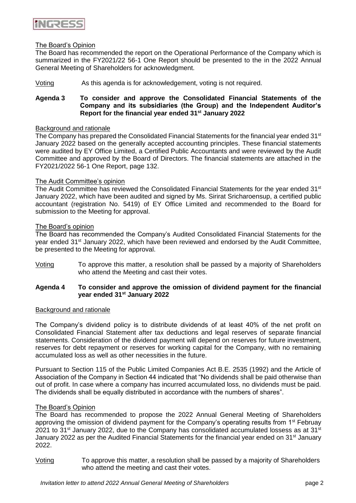

## The Board's Opinion

The Board has recommended the report on the Operational Performance of the Company which is summarized in the FY2021/22 56-1 One Report should be presented to the in the 2022 Annual General Meeting of Shareholders for acknowledgment.

## Voting As this agenda is for acknowledgement, voting is not required.

## **Agenda 3 To consider and approve the Consolidated Financial Statements of the Company and its subsidiaries (the Group) and the Independent Auditor's Report for the financial year ended 31st January 2022**

#### Background and rationale

The Company has prepared the Consolidated Financial Statements for the financial year ended 31<sup>st</sup> January 2022 based on the generally accepted accounting principles. These financial statements were audited by EY Office Limited, a Certified Public Accountants and were reviewed by the Audit Committee and approved by the Board of Directors. The financial statements are attached in the FY2021/2022 56-1 One Report, page 132.

## The Audit Committee's opinion

The Audit Committee has reviewed the Consolidated Financial Statements for the year ended 31<sup>st</sup> January 2022, which have been audited and signed by Ms. Sirirat Sricharoensup, a certified public accountant (registration No. 5419) of EY Office Limited and recommended to the Board for submission to the Meeting for approval.

#### The Board's opinion

The Board has recommended the Company's Audited Consolidated Financial Statements for the year ended 31<sup>st</sup> January 2022, which have been reviewed and endorsed by the Audit Committee, be presented to the Meeting for approval.

Voting To approve this matter, a resolution shall be passed by a majority of Shareholders who attend the Meeting and cast their votes.

## **Agenda 4 To consider and approve the omission of dividend payment for the financial year ended 31st January 2022**

#### Background and rationale

The Company's dividend policy is to distribute dividends of at least 40% of the net profit on Consolidated Financial Statement after tax deductions and legal reserves of separate financial statements. Consideration of the dividend payment will depend on reserves for future investment, reserves for debt repayment or reserves for working capital for the Company, with no remaining accumulated loss as well as other necessities in the future.

Pursuant to Section 115 of the Public Limited Companies Act B.E. 2535 (1992) and the Article of Association of the Company in Section 44 indicated that "No dividends shall be paid otherwise than out of profit. In case where a company has incurred accumulated loss, no dividends must be paid. The dividends shall be equally distributed in accordance with the numbers of shares".

#### The Board's Opinion

The Board has recommended to propose the 2022 Annual General Meeting of Shareholders approving the omission of dividend payment for the Company's operating results from 1<sup>st</sup> Februay 2021 to 31<sup>st</sup> January 2022, due to the Company has consolidated accumulated lossess as at 31<sup>st</sup> January 2022 as per the Audited Financial Statements for the financial year ended on 31<sup>st</sup> January 2022.

Voting To approve this matter, a resolution shall be passed by a majority of Shareholders who attend the meeting and cast their votes.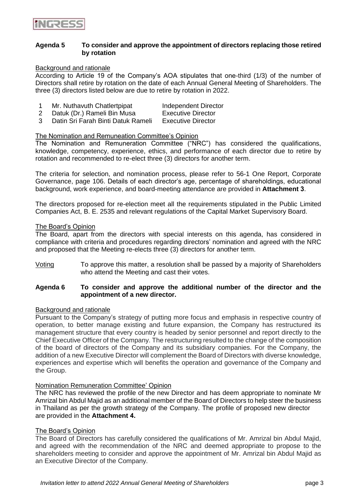

### **Agenda 5 To consider and approve the appointment of directors replacing those retired by rotation**

#### Background and rationale

According to Article 19 of the Company's AOA stipulates that one-third (1/3) of the number of Directors shall retire by rotation on the date of each Annual General Meeting of Shareholders. The three (3) directors listed below are due to retire by rotation in 2022.

|   | Mr. Nuthavuth Chatlertpipat        | Independent Director      |
|---|------------------------------------|---------------------------|
|   | Datuk (Dr.) Rameli Bin Musa        | <b>Executive Director</b> |
| 3 | Datin Sri Farah Binti Datuk Rameli | <b>Executive Director</b> |

# The Nomination and Remuneation Committee's Opinion

The Nomination and Remuneration Committee ("NRC") has considered the qualifications, knowledge, competency, experience, ethics, and performance of each director due to retire by rotation and recommended to re-elect three (3) directors for another term.

The criteria for selection, and nomination process, please refer to 56-1 One Report, Corporate Governance, page 106. Details of each director's age, percentage of shareholdings, educational background, work experience, and board-meeting attendance are provided in **Attachment 3**.

The directors proposed for re-election meet all the requirements stipulated in the Public Limited Companies Act, B. E. 2535 and relevant regulations of the Capital Market Supervisory Board.

#### The Board's Opinion

The Board, apart from the directors with special interests on this agenda, has considered in compliance with criteria and procedures regarding directors' nomination and agreed with the NRC and proposed that the Meeting re-elects three (3) directors for another term.

Voting To approve this matter, a resolution shall be passed by a majority of Shareholders who attend the Meeting and cast their votes.

## **Agenda 6 To consider and approve the additional number of the director and the appointment of a new director.**

#### Background and rationale

Pursuant to the Company's strategy of putting more focus and emphasis in respective country of operation, to better manage existing and future expansion, the Company has restructured its management structure that every country is headed by senior personnel and report directly to the Chief Executive Officer of the Company. The restructuring resulted to the change of the composition of the board of directors of the Company and its subsidiary companies. For the Company, the addition of a new Executive Director will complement the Board of Directors with diverse knowledge, experiences and expertise which will benefits the operation and governance of the Company and the Group.

### Nomination Remuneration Committee' Opinion

The NRC has reviewed the profile of the new Director and has deem appropriate to nominate Mr Amrizal bin Abdul Majid as an additional member of the Board of Directors to help steer the business in Thailand as per the growth strategy of the Company. The profile of proposed new director are provided in the **Attachment 4.**

#### The Board's Opinion

The Board of Directors has carefully considered the qualifications of Mr. Amrizal bin Abdul Majid, and agreed with the recommendation of the NRC and deemed appropriate to propose to the shareholders meeting to consider and approve the appointment of Mr. Amrizal bin Abdul Majid as an Executive Director of the Company.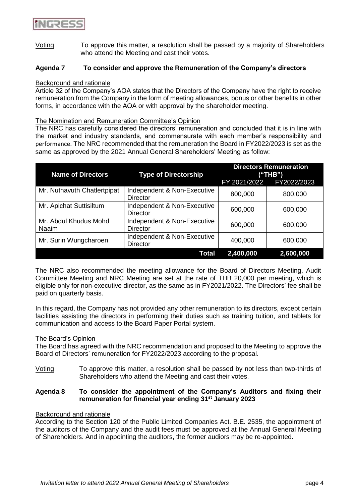

Voting To approve this matter, a resolution shall be passed by a majority of Shareholders who attend the Meeting and cast their votes.

### **Agenda 7 To consider and approve the Remuneration of the Company's directors**

#### Background and rationale

Article 32 of the Company's AOA states that the Directors of the Company have the right to receive remuneration from the Company in the form of meeting allowances, bonus or other benefits in other forms, in accordance with the AOA or with approval by the shareholder meeting.

#### The Nomination and Remuneration Committee's Opinion

The NRC has carefully considered the directors' remuneration and concluded that it is in line with the market and industry standards, and commensurate with each member's responsibility and performance. The NRC recommended that the remuneration the Board in FY2022/2023 is set as the same as approved by the 2021 Annual General Shareholders' Meeting as follow:

| <b>Name of Directors</b>       | <b>Type of Directorship</b>                    | <b>Directors Remuneration</b><br>("THB") |             |
|--------------------------------|------------------------------------------------|------------------------------------------|-------------|
|                                |                                                | FY 2021/2022                             | FY2022/2023 |
| Mr. Nuthavuth Chatlertpipat    | Independent & Non-Executive<br><b>Director</b> | 800,000                                  | 800,000     |
| Mr. Apichat Suttisiltum        | Independent & Non-Executive<br><b>Director</b> | 600,000                                  | 600,000     |
| Mr. Abdul Khudus Mohd<br>Naaim | Independent & Non-Executive<br><b>Director</b> | 600,000                                  | 600,000     |
| Mr. Surin Wungcharoen          | Independent & Non-Executive<br><b>Director</b> | 400,000                                  | 600,000     |
|                                | Total                                          | 2,400,000                                | 2,600,000   |

The NRC also recommended the meeting allowance for the Board of Directors Meeting, Audit Committee Meeting and NRC Meeting are set at the rate of THB 20,000 per meeting, which is eligible only for non-executive director, as the same as in FY2021/2022. The Directors' fee shall be paid on quarterly basis.

In this regard, the Company has not provided any other remuneration to its directors, except certain facilities assisting the directors in performing their duties such as training tuition, and tablets for communication and access to the Board Paper Portal system.

#### The Board's Opinion

The Board has agreed with the NRC recommendation and proposed to the Meeting to approve the Board of Directors' remuneration for FY2022/2023 according to the proposal.

Voting To approve this matter, a resolution shall be passed by not less than two-thirds of Shareholders who attend the Meeting and cast their votes.

## **Agenda 8 To consider the appointment of the Company's Auditors and fixing their remuneration for financial year ending 31st January 2023**

#### Background and rationale

According to the Section 120 of the Public Limited Companies Act. B.E. 2535, the appointment of the auditors of the Company and the audit fees must be approved at the Annual General Meeting of Shareholders. And in appointing the auditors, the former audiors may be re-appointed.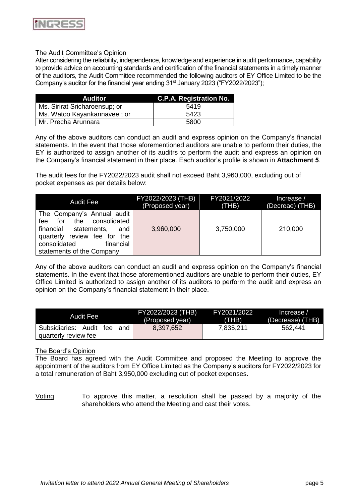

## The Audit Committee's Opinion

After considering the reliability, independence, knowledge and experience in audit performance, capability to provide advice on accounting standards and certification of the financial statements in a timely manner of the auditors, the Audit Committee recommended the following auditors of EY Office Limited to be the Company's auditor for the financial year ending  $31<sup>st</sup>$  January 2023 ("FY2022/2023");

| Auditor                       | <b>C.P.A. Registration No.</b> |
|-------------------------------|--------------------------------|
| Ms. Sirirat Sricharoensup; or | 5419                           |
| Ms. Watoo Kayankannavee; or   | 5423                           |
| Mr. Precha Arunnara           | 5800                           |

Any of the above auditors can conduct an audit and express opinion on the Company's financial statements. In the event that those aforementioned auditors are unable to perform their duties, the EY is authorized to assign another of its auditrs to perform the audit and express an opinion on the Company's financial statement in their place. Each auditor's profile is shown in **Attachment 5**.

The audit fees for the FY2022/2023 audit shall not exceed Baht 3,960,000, excluding out of pocket expenses as per details below:

| <b>Audit Fee</b>                                                                                                                                                                                | FY2022/2023 (THB) | FY2021/2022 | Increase /      |
|-------------------------------------------------------------------------------------------------------------------------------------------------------------------------------------------------|-------------------|-------------|-----------------|
|                                                                                                                                                                                                 | (Proposed year)   | (THB)       | (Decreae) (THB) |
| The Company's Annual audit<br>consolidated<br>for<br>the<br>fee<br>financial<br>statements,<br>and<br>quarterly review fee for<br>the<br>consolidated<br>financial<br>statements of the Company | 3,960,000         | 3,750,000   | 210,000         |

Any of the above auditors can conduct an audit and express opinion on the Company's financial statements. In the event that those aforementioned auditors are unable to perform their duties, EY Office Limited is authorized to assign another of its auditors to perform the audit and express an opinion on the Company's financial statement in their place.

| Audit Fee                                                 | FY2022/2023 (THB) | FY2021/2022 | Increase /       |
|-----------------------------------------------------------|-------------------|-------------|------------------|
|                                                           | (Proposed year)   | (THB)       | (Decrease) (THB) |
| Subsidiaries: Audit<br>tee<br>and<br>quarterly review fee | 8,397,652         | 7,835,211   | 562,441          |

#### The Board's Opinion

The Board has agreed with the Audit Committee and proposed the Meeting to approve the appointment of the auditors from EY Office Limited as the Company's auditors for FY2022/2023 for a total remuneration of Baht 3,950,000 excluding out of pocket expenses.

Voting To approve this matter, a resolution shall be passed by a majority of the shareholders who attend the Meeting and cast their votes.